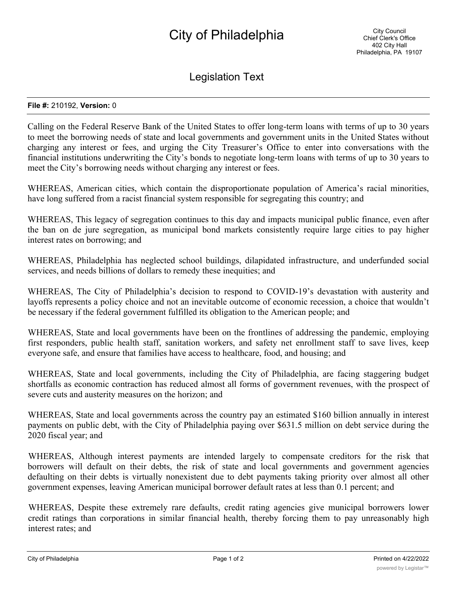## City of Philadelphia

Legislation Text

## **File #:** 210192, **Version:** 0

Calling on the Federal Reserve Bank of the United States to offer long-term loans with terms of up to 30 years to meet the borrowing needs of state and local governments and government units in the United States without charging any interest or fees, and urging the City Treasurer's Office to enter into conversations with the financial institutions underwriting the City's bonds to negotiate long-term loans with terms of up to 30 years to meet the City's borrowing needs without charging any interest or fees.

WHEREAS, American cities, which contain the disproportionate population of America's racial minorities, have long suffered from a racist financial system responsible for segregating this country; and

WHEREAS, This legacy of segregation continues to this day and impacts municipal public finance, even after the ban on de jure segregation, as municipal bond markets consistently require large cities to pay higher interest rates on borrowing; and

WHEREAS, Philadelphia has neglected school buildings, dilapidated infrastructure, and underfunded social services, and needs billions of dollars to remedy these inequities; and

WHEREAS, The City of Philadelphia's decision to respond to COVID-19's devastation with austerity and layoffs represents a policy choice and not an inevitable outcome of economic recession, a choice that wouldn't be necessary if the federal government fulfilled its obligation to the American people; and

WHEREAS, State and local governments have been on the frontlines of addressing the pandemic, employing first responders, public health staff, sanitation workers, and safety net enrollment staff to save lives, keep everyone safe, and ensure that families have access to healthcare, food, and housing; and

WHEREAS, State and local governments, including the City of Philadelphia, are facing staggering budget shortfalls as economic contraction has reduced almost all forms of government revenues, with the prospect of severe cuts and austerity measures on the horizon; and

WHEREAS, State and local governments across the country pay an estimated \$160 billion annually in interest payments on public debt, with the City of Philadelphia paying over \$631.5 million on debt service during the 2020 fiscal year; and

WHEREAS, Although interest payments are intended largely to compensate creditors for the risk that borrowers will default on their debts, the risk of state and local governments and government agencies defaulting on their debts is virtually nonexistent due to debt payments taking priority over almost all other government expenses, leaving American municipal borrower default rates at less than 0.1 percent; and

WHEREAS, Despite these extremely rare defaults, credit rating agencies give municipal borrowers lower credit ratings than corporations in similar financial health, thereby forcing them to pay unreasonably high interest rates; and